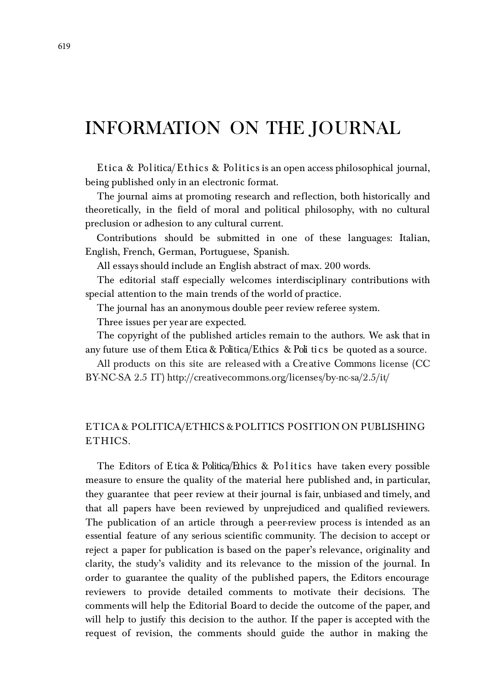# INFORMATION ON THE JOURNAL

Etica & Politica/Ethics & Politics is an open access philosophical journal, being published only in an electronic format.

The journal aims at promoting research and reflection, both historically and theoretically, in the field of moral and political philosophy, with no cultural preclusion or adhesion to any cultural current.

Contributions should be submitted in one of these languages: Italian, English, French, German, Portuguese, Spanish.

All essays should include an English abstract of max. 200 words.

The editorial staff especially welcomes interdisciplinary contributions with special attention to the main trends of the world of practice.

The journal has an anonymous double peer review referee system.

Three issues per year are expected.

The copyright of the published articles remain to the authors. We ask that in any future use of them Etica & Politica/Ethics & Poli tics be quoted as a source.

All products on this site are released with a Cre ative Commons license (CC BY-NC-SA 2.5 IT[\) http://creativecommons.org/licenses/by-nc-sa/2.5/it/](http://creativecommons.org/licenses/by-nc-sa/2.5/it/)

# E T ICA & POLITICA/ETHICS & POLITICS POSITION ON PUBLISHING ETHICS.

The Editors of Etica & Politica/Ethics & Po l itics have taken every possible measure to ensure the quality of the material here published and, in particular, they guarantee that peer review at their journal is fair, unbiased and timely, and that all papers have been reviewed by unprejudiced and qualified reviewers. The publication of an article through a peer-review process is intended as an essential feature of any serious scientific community. The decision to accept or reject a paper for publication is based on the paper's relevance, originality and clarity, the study's validity and its relevance to the mission of the journal. In order to guarantee the quality of the published papers, the Editors encourage reviewers to provide detailed comments to motivate their decisions. The comments will help the Editorial Board to decide the outcome of the paper, and will help to justify this decision to the author. If the paper is accepted with the request of revision, the comments should guide the author in making the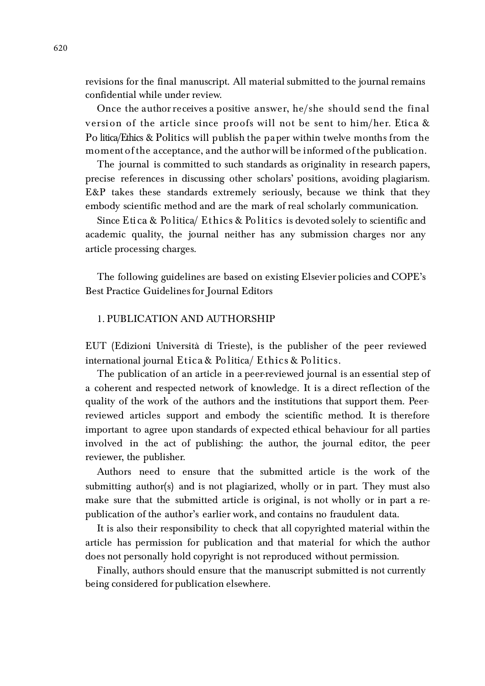revisions for the final manuscript. All material submitted to the journal remains confidential while under review.

Once the author receives a positive answer, he/she should send the final version of the article since proofs will not be sent to him/her. Etica & Po litica/Ethics & Politics will publish the pa per within twelve months from the moment of the acceptance, and the author will be informed of the publication.

The journal is committed to such standards as originality in research papers, precise references in discussing other scholars' positions, avoiding plagiarism. E&P takes these standards extremely seriously, because we think that they embody scientific method and are the mark of real scholarly communication.

Since Eti ca & Po litica/ Ethics & Po litics is devoted solely to scientific and academic quality, the journal neither has any submission charges nor any article processing charges.

The following guidelines are based on existing Elsevier policies and COPE's Best Practice Guidelines for Journal Editors

#### 1. PUBLICATION AND AUTHORSHIP

EUT (Edizioni Università di Trieste), is the publisher of the peer reviewed international journal  $E$ tica & Po litica/  $E$ thics & Po litics.

The publication of an article in a peer-reviewed journal is an essential step of a coherent and respected network of knowledge. It is a direct reflection of the quality of the work of the authors and the institutions that support them. Peerreviewed articles support and embody the scientific method. It is therefore important to agree upon standards of expected ethical behaviour for all parties involved in the act of publishing: the author, the journal editor, the peer reviewer, the publisher.

Authors need to ensure that the submitted article is the work of the submitting author(s) and is not plagiarized, wholly or in part. They must also make sure that the submitted article is original, is not wholly or in part a republication of the author's earlier work, and contains no fraudulent data.

It is also their responsibility to check that all copyrighted material within the article has permission for publication and that material for which the author does not personally hold copyright is not reproduced without permission.

Finally, authors should ensure that the manuscript submitted is not currently being considered for publication elsewhere.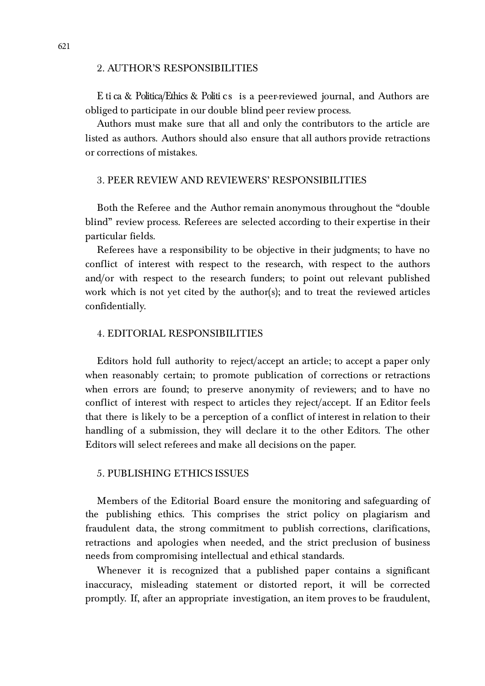#### 2. AUTHOR'S RESPONSIBILITIES

E ti ca & Politica/Ethics & Politi cs is a peer-reviewed journal, and Authors are obliged to participate in our double blind peer review process.

Authors must make sure that all and only the contributors to the article are listed as authors. Authors should also ensure that all authors provide retractions or corrections of mistakes.

#### 3. PEER REVIEW AND REVIEWERS' RESPONSIBILITIES

Both the Referee and the Author remain anonymous throughout the "double blind" review process. Referees are selected according to their expertise in their particular fields.

Referees have a responsibility to be objective in their judgments; to have no conflict of interest with respect to the research, with respect to the authors and/or with respect to the research funders; to point out relevant published work which is not yet cited by the author(s); and to treat the reviewed articles confidentially.

#### 4. EDITORIAL RESPONSIBILITIES

Editors hold full authority to reject/accept an article; to accept a paper only when reasonably certain; to promote publication of corrections or retractions when errors are found; to preserve anonymity of reviewers; and to have no conflict of interest with respect to articles they reject/accept. If an Editor feels that there is likely to be a perception of a conflict of interest in relation to their handling of a submission, they will declare it to the other Editors. The other Editors will select referees and make all decisions on the paper.

#### 5. PUBLISHING ETHICS ISSUES

Members of the Editorial Board ensure the monitoring and safeguarding of the publishing ethics. This comprises the strict policy on plagiarism and fraudulent data, the strong commitment to publish corrections, clarifications, retractions and apologies when needed, and the strict preclusion of business needs from compromising intellectual and ethical standards.

Whenever it is recognized that a published paper contains a significant inaccuracy, misleading statement or distorted report, it will be corrected promptly. If, after an appropriate investigation, an item proves to be fraudulent,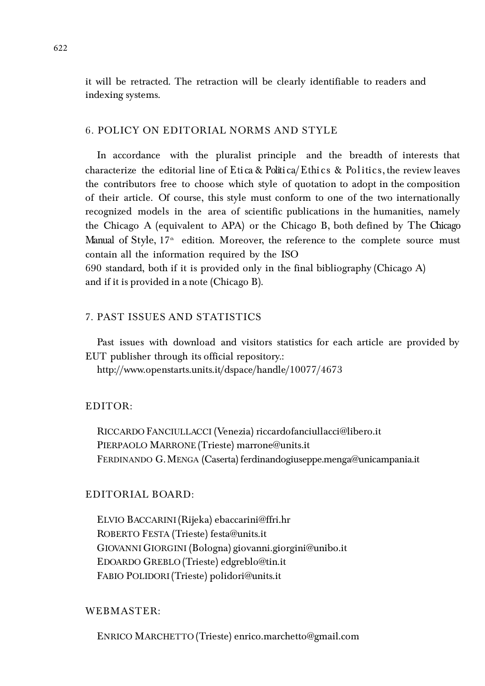it will be retracted. The retraction will be clearly identifiable to readers and indexing systems.

#### 6. POLICY ON EDITORIAL NORMS AND STYLE

In accordance with the pluralist principle and the breadth of interests that characterize the editorial line of Etica & Politica/Ethics & Politics, the review leaves the contributors free to choose which style of quotation to adopt in the composition of their article. Of course, this style must conform to one of the two internationally recognized models in the area of scientific publications in the humanities, namely the Chicago A (equivalent to APA) or the Chicago B, both defined by The Chicago Manual of Style,  $17<sup>th</sup>$  edition. Moreover, the reference to the complete source must contain all the information required by the ISO

690 standard, both if it is provided only in the final bibliography (Chicago A) and if it is provided in a note (Chicago B).

# 7. PAST ISSUES AND STATISTICS

Past issues with download and visitors statistics for each article are provided by EUT publisher through its official repository.:

<http://www.openstarts.units.it/dspace/handle/10077/4673>

#### EDITOR:

RICCARDO FANCIULLACCI (Venezia) [riccardofanciullacci@libero.it](mailto:riccardofanciullacci@libero.it) PIERPAOLO MARRONE (Trieste[\) marrone@units.it](mailto:marrone@units.it)  FERDINANDO G.MENGA (Caserta) ferdinandogiuseppe.menga@unicampania.it

# EDITORIAL BOARD:

ELVIO BACCARINI (Rijeka) [ebaccarini@ffri.hr](mailto:ebaccarini@ffri.hr) ROBERTO FESTA (Trieste) [festa@units.it](mailto:festa@units.it) GIOVANNI GIORGINI (Bologna) [giovanni.giorgini@unibo.it](mailto:giovanni.giorgini@unibo.it) EDOARDO GREBLO (Trieste) [edgreblo@tin.it](mailto:edgreblo@tin.it) FABIO POLIDORI (Trieste) [polidori@units.it](mailto:polidori@units.it)

### WEBMASTER:

ENRICO MARCHETTO (Trieste) [enrico.marchetto@gmail.com](mailto:enrico.marchetto@gmail.com)